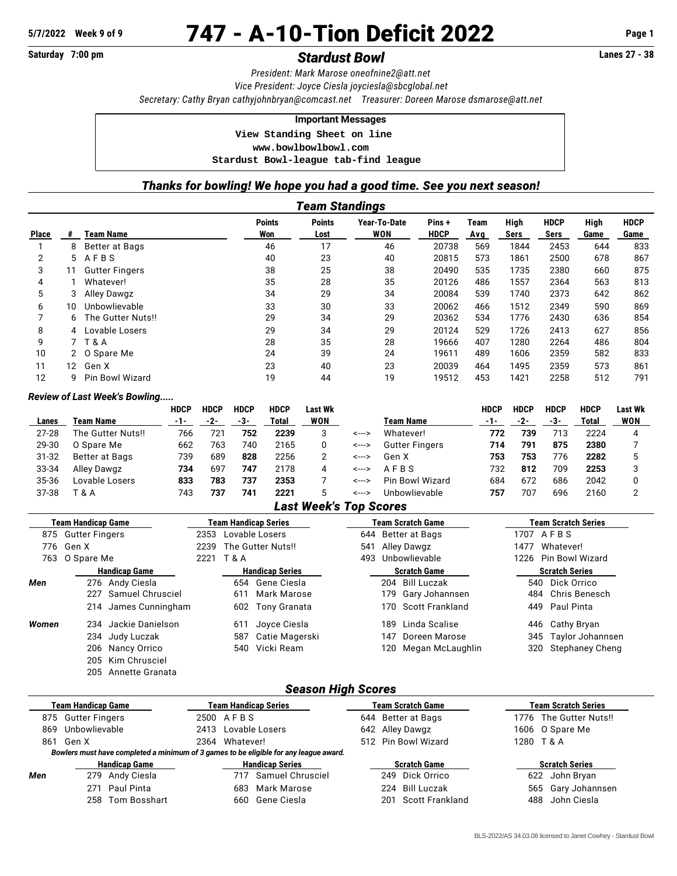# **5/7/2022 Week 9 of 9** 747 - A-10-Tion Deficit 2022 **Page 1**

# **Saturday 7:00 pm** *Stardust Bowl* **Lanes 27 - 38**

*President: Mark Marose [oneofnine2@att.net](mailto:oneofnine2@att.net) Vice President: Joyce Ciesla [joyciesla@sbcglobal.net](mailto:joyciesla@sbcglobal.net) Secretary: Cathy Bryan [cathyjohnbryan@comcast.net](mailto:cathyjohnbryan@comcast.net) Treasurer: Doreen Marose [dsmarose@att.net](mailto:dsmarose@att.net)*

#### **Important Messages**

 **View Standing Sheet on line**

 **<www.bowlbowlbowl.com>**

 **Stardust Bowl-league tab-find league**

## *Thanks for bowling! We hope you had a good time. See you next season!*

|              | Team Standings |                        |                      |                       |                     |                       |             |              |                     |              |                     |  |
|--------------|----------------|------------------------|----------------------|-----------------------|---------------------|-----------------------|-------------|--------------|---------------------|--------------|---------------------|--|
| <b>Place</b> | #              | Team Name              | <b>Points</b><br>Won | <b>Points</b><br>Lost | Year-To-Date<br>WON | Pins +<br><b>HDCP</b> | Team<br>Avg | High<br>Sers | <b>HDCP</b><br>Sers | High<br>Game | <b>HDCP</b><br>Game |  |
|              | 8              | Better at Bags         | 46                   | 17                    | 46                  | 20738                 | 569         | 1844         | 2453                | 644          | 833                 |  |
| 2            | 5.             | AFBS                   | 40                   | 23                    | 40                  | 20815                 | 573         | 1861         | 2500                | 678          | 867                 |  |
| 3            | 11             | <b>Gutter Fingers</b>  | 38                   | 25                    | 38                  | 20490                 | 535         | 1735         | 2380                | 660          | 875                 |  |
| 4            |                | Whatever!              | 35                   | 28                    | 35                  | 20126                 | 486         | 1557         | 2364                | 563          | 813                 |  |
| 5            |                | Alley Dawgz            | 34                   | 29                    | 34                  | 20084                 | 539         | 1740         | 2373                | 642          | 862                 |  |
| 6            | 10             | Unbowlievable          | 33                   | 30                    | 33                  | 20062                 | 466         | 1512         | 2349                | 590          | 869                 |  |
|              | 6.             | The Gutter Nuts!!      | 29                   | 34                    | 29                  | 20362                 | 534         | 1776         | 2430                | 636          | 854                 |  |
| 8            | 4              | Lovable Losers         | 29                   | 34                    | 29                  | 20124                 | 529         | 1726         | 2413                | 627          | 856                 |  |
| 9            |                | <b>T&amp;A</b>         | 28                   | 35                    | 28                  | 19666                 | 407         | 1280         | 2264                | 486          | 804                 |  |
| 10           |                | 2 O Spare Me           | 24                   | 39                    | 24                  | 19611                 | 489         | 1606         | 2359                | 582          | 833                 |  |
| 11           | 12.            | Gen X                  | 23                   | 40                    | 23                  | 20039                 | 464         | 1495         | 2359                | 573          | 861                 |  |
| 12           | g              | <b>Pin Bowl Wizard</b> | 19                   | 44                    | 19                  | 19512                 | 453         | 1421         | 2258                | 512          | 791                 |  |

#### *Review of Last Week's Bowling.....*

205 Annette Granata

|           |                   | <b>HDCP</b> | <b>HDCP</b> | <b>HDCP</b> | <b>HDCP</b> | Last Wk |       |                       | HDCP | <b>HDCP</b> | <b>HDCP</b> | <b>HDCP</b> | Last Wk |
|-----------|-------------------|-------------|-------------|-------------|-------------|---------|-------|-----------------------|------|-------------|-------------|-------------|---------|
| Lanes     | Team Name         | -1-         | -2-         | -3-         | Total       | WON     |       | Team Name             | -1-  | -2-         | -3-         | Total       | WON     |
| $27 - 28$ | The Gutter Nuts!! | 766         | 721         | 752         | 2239        |         | <---> | Whatever!             | 772  | 739         | 713         | 2224        |         |
| 29-30     | O Spare Me        | 662         | 763         | 740         | 2165        |         | <---> | <b>Gutter Fingers</b> | 714  | 791         | 875         | 2380        |         |
| $31 - 32$ | Better at Bags    | 739         | 689         | 828         | 2256        |         | <---> | Gen X                 | 753  | 753         | 776         | 2282        |         |
| 33-34     | Alley Dawgz       | 734         | 697         | 747         | 2178        | 4       | <---> | AFRS                  | 732  | 812         | 709         | 2253        |         |
| 35-36     | Lovable Losers    | 833         | 783         | 737         | 2353        |         | <---> | Pin Bowl Wizard       | 684  | 672         | 686         | 2042        |         |
| 37-38     | 「 & A             | 743         | 737         | 741         | 2221        |         | <---> | Unhowlievable         | 757  | 707         | 696         | 2160        |         |

### *Last Week's Top Scores*

| Team Handicap Game |                      | <b>Team Handicap Series</b> |      |                        |                     |     | <b>Team Scratch Game</b> | <b>Team Scratch Series</b> |                         |                        |  |
|--------------------|----------------------|-----------------------------|------|------------------------|---------------------|-----|--------------------------|----------------------------|-------------------------|------------------------|--|
|                    | 875 Gutter Fingers   |                             |      |                        | 2353 Lovable Losers |     | 644 Better at Bags       |                            | 1707 AFBS               |                        |  |
|                    | 776 Gen X            |                             | 2239 | The Gutter Nuts!!      |                     | 541 | Alley Dawgz              |                            | 1477                    | Whatever!              |  |
|                    | 763 O Spare Me       |                             | 2221 | <b>T &amp; A</b>       |                     | 493 |                          | Unbowlievable              | Pin Bowl Wizard<br>1226 |                        |  |
|                    | <b>Handicap Game</b> |                             |      | <b>Handicap Series</b> |                     |     |                          | <b>Scratch Game</b>        | <b>Scratch Series</b>   |                        |  |
| Men                |                      | 276 Andy Ciesla             |      |                        | 654 Gene Ciesla     |     |                          | 204 Bill Luczak            |                         | 540 Dick Orrico        |  |
|                    | 227                  | Samuel Chrusciel            |      | 611                    | Mark Marose         |     | 179 -                    | Gary Johannsen             |                         | 484 Chris Benesch      |  |
|                    |                      | 214 James Cunningham        |      |                        | 602 Tony Granata    |     |                          | 170 Scott Frankland        |                         | 449 Paul Pinta         |  |
| Women              | 234                  | Jackie Danielson            |      | 611                    | Joyce Ciesla        |     | 189                      | Linda Scalise              |                         | 446 Cathy Bryan        |  |
|                    |                      | 234 Judy Luczak             |      | 587                    | Catie Magerski      |     | 147                      | Doreen Marose              |                         | 345 Taylor Johannsen   |  |
|                    |                      | 206 Nancy Orrico            |      |                        | 540 Vicki Ream      |     | 120                      | Megan McLaughlin           | 320                     | <b>Stephaney Cheng</b> |  |
|                    |                      | 205 Kim Chrusciel           |      |                        |                     |     |                          |                            |                         |                        |  |

## *Season High Scores*

|     | <b>Team Handicap Game</b> | <b>Team Handicap Series</b>                                                           | <b>Team Scratch Game</b> | <b>Team Scratch Series</b> |  |  |  |
|-----|---------------------------|---------------------------------------------------------------------------------------|--------------------------|----------------------------|--|--|--|
|     | 875 Gutter Fingers        | 2500 AFBS                                                                             | 644 Better at Bags       | 1776 The Gutter Nuts!!     |  |  |  |
| 869 | Unbowlievable             | 2413 Lovable Losers                                                                   | 642 Alley Dawgz          | 1606 O Spare Me            |  |  |  |
| 861 | Gen X                     | 2364 Whatever!                                                                        | 512 Pin Bowl Wizard      | 1280 T & A                 |  |  |  |
|     |                           | Bowlers must have completed a minimum of 3 games to be eligible for any league award. |                          |                            |  |  |  |
|     | <b>Handicap Game</b>      | <b>Handicap Series</b>                                                                | <b>Scratch Game</b>      | <b>Scratch Series</b>      |  |  |  |
| Men | 279 Andy Ciesla           | Samuel Chrusciel<br>717                                                               | 249 Dick Orrico          | 622 John Bryan             |  |  |  |
|     | 271 Paul Pinta            | Mark Marose<br>683                                                                    | 224 Bill Luczak          | 565 Gary Johannsen         |  |  |  |
|     | 258 Tom Bosshart          | Gene Ciesla<br>660                                                                    | Scott Frankland<br>201   | John Ciesla<br>488         |  |  |  |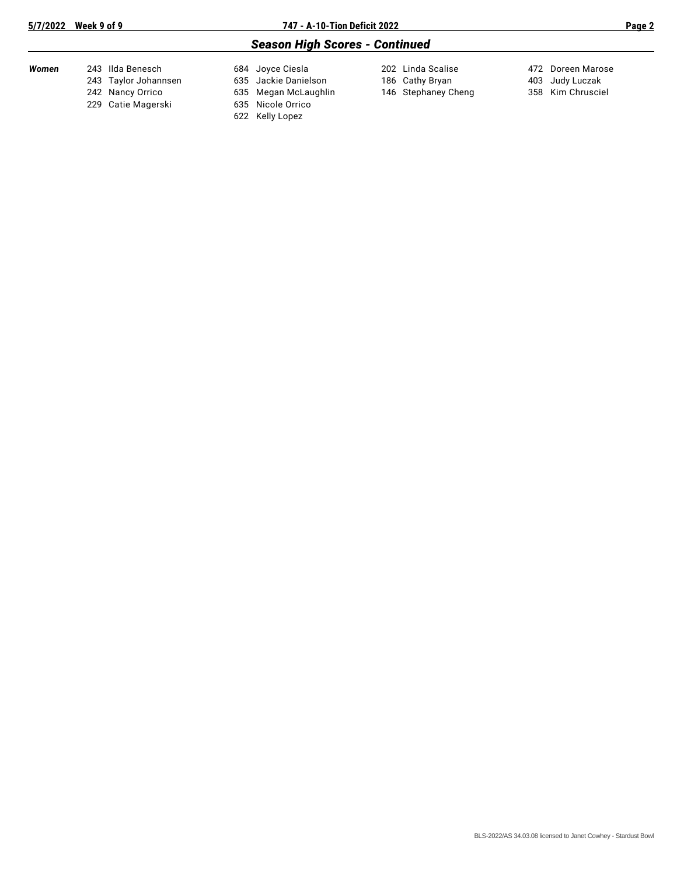# *Season High Scores - Continued*

| Women | 243 Ilda Benesch<br>243 Taylor Johannsen<br>242 Nancy Orrico | 684 Joyce Ciesla<br>635 Jackie Danielson<br>635 Megan McLaughlin | 202 Linda Scalise<br>186 Cathy Bryan<br>146 Stephaney Cheng | 472 Doreen Marose<br>403 Judy Luczak<br>358 Kim Chrusciel |
|-------|--------------------------------------------------------------|------------------------------------------------------------------|-------------------------------------------------------------|-----------------------------------------------------------|
|       | 229 Catie Magerski                                           | 635 Nicole Orrico                                                |                                                             |                                                           |
|       |                                                              | 622 Kelly Lopez                                                  |                                                             |                                                           |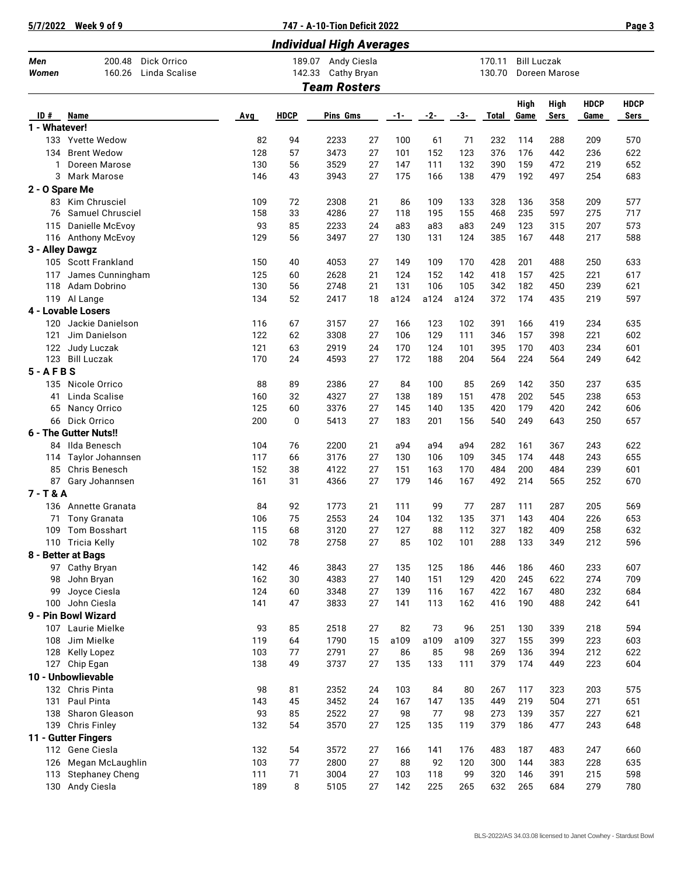| 5/7/2022             | Week 9 of 9                                      |            | 747 - A-10-Tion Deficit 2022    |                                                          |          |           |            |            |                  |                                     |            |             | Page 3      |
|----------------------|--------------------------------------------------|------------|---------------------------------|----------------------------------------------------------|----------|-----------|------------|------------|------------------|-------------------------------------|------------|-------------|-------------|
|                      |                                                  |            | <b>Individual High Averages</b> |                                                          |          |           |            |            |                  |                                     |            |             |             |
| Men<br>Women         | Dick Orrico<br>200.48<br>Linda Scalise<br>160.26 |            | 142.33                          | 189.07 Andy Ciesla<br>Cathy Bryan<br><b>Team Rosters</b> |          |           |            |            | 170.11<br>130.70 | <b>Bill Luczak</b><br>Doreen Marose |            |             |             |
|                      |                                                  |            |                                 |                                                          |          |           |            |            |                  | High                                | High       | <b>HDCP</b> | <b>HDCP</b> |
| ID#<br>1 - Whatever! | <b>Name</b>                                      | Avg        | <b>HDCP</b>                     | Pins Gms                                                 |          | -1-       | $-2-$      | $-3-$      | <b>Total</b>     | Game                                | Sers       | Game        | Sers        |
|                      | 133 Yvette Wedow                                 | 82         | 94                              | 2233                                                     | 27       | 100       | 61         | 71         | 232              | 114                                 | 288        | 209         | 570         |
| 134                  | <b>Brent Wedow</b>                               | 128        | 57                              | 3473                                                     | 27       | 101       | 152        | 123        | 376              | 176                                 | 442        | 236         | 622         |
| 1                    | Doreen Marose                                    | 130        | 56                              | 3529                                                     | 27       | 147       | 111        | 132        | 390              | 159                                 | 472        | 219         | 652         |
| 3                    | Mark Marose                                      | 146        | 43                              | 3943                                                     | 27       | 175       | 166        | 138        | 479              | 192                                 | 497        | 254         | 683         |
| 2 - O Spare Me       |                                                  |            |                                 |                                                          |          |           |            |            |                  |                                     |            |             |             |
| 83                   | Kim Chrusciel                                    | 109        | 72                              | 2308                                                     | 21       | 86        | 109        | 133        | 328              | 136                                 | 358        | 209         | 577         |
| 76                   | Samuel Chrusciel                                 | 158        | 33                              | 4286                                                     | 27       | 118       | 195        | 155        | 468              | 235                                 | 597        | 275         | 717         |
| 115                  | Danielle McEvoy                                  | 93         | 85                              | 2233                                                     | 24       | a83       | a83        | a83        | 249              | 123                                 | 315        | 207         | 573         |
| 3 - Alley Dawgz      | 116 Anthony McEvoy                               | 129        | 56                              | 3497                                                     | 27       | 130       | 131        | 124        | 385              | 167                                 | 448        | 217         | 588         |
|                      | 105 Scott Frankland                              | 150        | 40                              | 4053                                                     | 27       | 149       | 109        | 170        | 428              | 201                                 | 488        | 250         | 633         |
| 117                  | James Cunningham                                 | 125        | 60                              | 2628                                                     | 21       | 124       | 152        | 142        | 418              | 157                                 | 425        | 221         | 617         |
|                      | 118 Adam Dobrino                                 | 130        | 56                              | 2748                                                     | 21       | 131       | 106        | 105        | 342              | 182                                 | 450        | 239         | 621         |
|                      | 119 Al Lange                                     | 134        | 52                              | 2417                                                     | 18       | a124      | a124       | a124       | 372              | 174                                 | 435        | 219         | 597         |
|                      | 4 - Lovable Losers                               |            |                                 |                                                          |          |           |            |            |                  |                                     |            |             |             |
| 120                  | Jackie Danielson                                 | 116        | 67                              | 3157                                                     | 27       | 166       | 123        | 102        | 391              | 166                                 | 419        | 234         | 635         |
| 121                  | Jim Danielson                                    | 122        | 62                              | 3308                                                     | 27       | 106       | 129        | 111        | 346              | 157                                 | 398        | 221         | 602         |
| 122                  | Judy Luczak                                      | 121        | 63                              | 2919                                                     | 24       | 170       | 124        | 101        | 395              | 170                                 | 403        | 234         | 601         |
| 123                  | <b>Bill Luczak</b>                               | 170        | 24                              | 4593                                                     | 27       | 172       | 188        | 204        | 564              | 224                                 | 564        | 249         | 642         |
| $5 - AFBS$           |                                                  |            |                                 |                                                          |          |           |            |            |                  |                                     |            |             |             |
| 135                  | Nicole Orrico                                    | 88<br>160  | 89<br>32                        | 2386                                                     | 27       | 84<br>138 | 100        | 85<br>151  | 269<br>478       | 142                                 | 350<br>545 | 237<br>238  | 635<br>653  |
| 41<br>65             | Linda Scalise<br>Nancy Orrico                    | 125        | 60                              | 4327<br>3376                                             | 27<br>27 | 145       | 189<br>140 | 135        | 420              | 202<br>179                          | 420        | 242         | 606         |
| 66                   | Dick Orrico                                      | 200        | $\mathbf 0$                     | 5413                                                     | 27       | 183       | 201        | 156        | 540              | 249                                 | 643        | 250         | 657         |
|                      | 6 - The Gutter Nuts!!                            |            |                                 |                                                          |          |           |            |            |                  |                                     |            |             |             |
|                      | 84 Ilda Benesch                                  | 104        | 76                              | 2200                                                     | 21       | a94       | a94        | a94        | 282              | 161                                 | 367        | 243         | 622         |
| 114                  | Taylor Johannsen                                 | 117        | 66                              | 3176                                                     | 27       | 130       | 106        | 109        | 345              | 174                                 | 448        | 243         | 655         |
| 85                   | Chris Benesch                                    | 152        | 38                              | 4122                                                     | 27       | 151       | 163        | 170        | 484              | 200                                 | 484        | 239         | 601         |
| 87                   | Gary Johannsen                                   | 161        | 31                              | 4366                                                     | 27       | 179       | 146        | 167        | 492              | 214                                 | 565        | 252         | 670         |
| $7 - T & A$          |                                                  |            |                                 |                                                          |          |           |            |            |                  |                                     |            |             |             |
|                      | 136 Annette Granata                              | 84         | 92                              | 1773                                                     | 21       | 111       | 99         | 77         | 287              | 111                                 | 287        | 205         | 569         |
| 71                   | Tony Granata                                     | 106        | 75                              | 2553                                                     | 24       | 104       | 132        | 135        | 371              | 143                                 | 404        | 226         | 653         |
| 109                  | Tom Bosshart<br>110 Tricia Kelly                 | 115<br>102 | 68<br>78                        | 3120<br>2758                                             | 27<br>27 | 127<br>85 | 88<br>102  | 112<br>101 | 327<br>288       | 182<br>133                          | 409<br>349 | 258<br>212  | 632<br>596  |
|                      | 8 - Better at Bags                               |            |                                 |                                                          |          |           |            |            |                  |                                     |            |             |             |
|                      | 97 Cathy Bryan                                   | 142        | 46                              | 3843                                                     | 27       | 135       | 125        | 186        | 446              | 186                                 | 460        | 233         | 607         |
| 98                   | John Bryan                                       | 162        | 30                              | 4383                                                     | 27       | 140       | 151        | 129        | 420              | 245                                 | 622        | 274         | 709         |
| 99                   | Joyce Ciesla                                     | 124        | 60                              | 3348                                                     | 27       | 139       | 116        | 167        | 422              | 167                                 | 480        | 232         | 684         |
|                      | 100 John Ciesla                                  | 141        | 47                              | 3833                                                     | 27       | 141       | 113        | 162        | 416              | 190                                 | 488        | 242         | 641         |
|                      | 9 - Pin Bowl Wizard                              |            |                                 |                                                          |          |           |            |            |                  |                                     |            |             |             |
| 107                  | Laurie Mielke                                    | 93         | 85                              | 2518                                                     | 27       | 82        | 73         | 96         | 251              | 130                                 | 339        | 218         | 594         |
| 108                  | Jim Mielke                                       | 119        | 64                              | 1790                                                     | 15       | a109      | a109       | a109       | 327              | 155                                 | 399        | 223         | 603         |
| 128                  | Kelly Lopez                                      | 103        | 77                              | 2791                                                     | 27       | 86        | 85         | 98         | 269              | 136                                 | 394        | 212         | 622         |
|                      | 127 Chip Egan                                    | 138        | 49                              | 3737                                                     | 27       | 135       | 133        | 111        | 379              | 174                                 | 449        | 223         | 604         |
|                      | 10 - Unbowlievable<br>132 Chris Pinta            | 98         | 81                              | 2352                                                     | 24       | 103       | 84         | 80         | 267              | 117                                 | 323        | 203         | 575         |
| 131                  | Paul Pinta                                       | 143        | 45                              | 3452                                                     | 24       | 167       | 147        | 135        | 449              | 219                                 | 504        | 271         | 651         |
| 138                  | Sharon Gleason                                   | 93         | 85                              | 2522                                                     | 27       | 98        | 77         | 98         | 273              | 139                                 | 357        | 227         | 621         |
|                      | 139 Chris Finley                                 | 132        | 54                              | 3570                                                     | 27       | 125       | 135        | 119        | 379              | 186                                 | 477        | 243         | 648         |
|                      | 11 - Gutter Fingers                              |            |                                 |                                                          |          |           |            |            |                  |                                     |            |             |             |
|                      | 112 Gene Ciesla                                  | 132        | 54                              | 3572                                                     | 27       | 166       | 141        | 176        | 483              | 187                                 | 483        | 247         | 660         |
| 126                  | Megan McLaughlin                                 | 103        | 77                              | 2800                                                     | 27       | 88        | 92         | 120        | 300              | 144                                 | 383        | 228         | 635         |
| 113                  | <b>Stephaney Cheng</b>                           | 111        | 71                              | 3004                                                     | 27       | 103       | 118        | 99         | 320              | 146                                 | 391        | 215         | 598         |
| 130                  | Andy Ciesla                                      | 189        | 8                               | 5105                                                     | 27       | 142       | 225        | 265        | 632              | 265                                 | 684        | 279         | 780         |